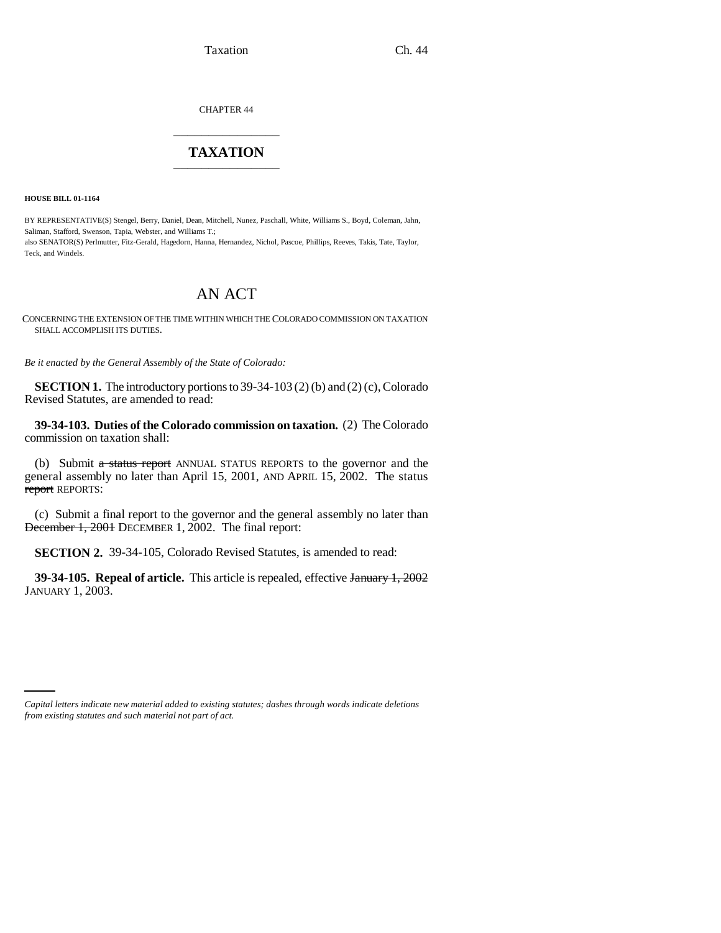Taxation Ch. 44

CHAPTER 44 \_\_\_\_\_\_\_\_\_\_\_\_\_\_\_

## **TAXATION** \_\_\_\_\_\_\_\_\_\_\_\_\_\_\_

**HOUSE BILL 01-1164**

BY REPRESENTATIVE(S) Stengel, Berry, Daniel, Dean, Mitchell, Nunez, Paschall, White, Williams S., Boyd, Coleman, Jahn, Saliman, Stafford, Swenson, Tapia, Webster, and Williams T.; also SENATOR(S) Perlmutter, Fitz-Gerald, Hagedorn, Hanna, Hernandez, Nichol, Pascoe, Phillips, Reeves, Takis, Tate, Taylor, Teck, and Windels.

## AN ACT

CONCERNING THE EXTENSION OF THE TIME WITHIN WHICH THE COLORADO COMMISSION ON TAXATION SHALL ACCOMPLISH ITS DUTIES.

*Be it enacted by the General Assembly of the State of Colorado:*

**SECTION 1.** The introductory portions to 39-34-103 (2) (b) and (2) (c), Colorado Revised Statutes, are amended to read:

**39-34-103. Duties of the Colorado commission on taxation.** (2) The Colorado commission on taxation shall:

(b) Submit a status report ANNUAL STATUS REPORTS to the governor and the general assembly no later than April 15, 2001, AND APRIL 15, 2002. The status report REPORTS:

(c) Submit a final report to the governor and the general assembly no later than December 1, 2001 DECEMBER 1, 2002. The final report:

**SECTION 2.** 39-34-105, Colorado Revised Statutes, is amended to read:

**39-34-105. Repeal of article.** This article is repealed, effective January 1, 2002 JANUARY 1, 2003.

*Capital letters indicate new material added to existing statutes; dashes through words indicate deletions from existing statutes and such material not part of act.*